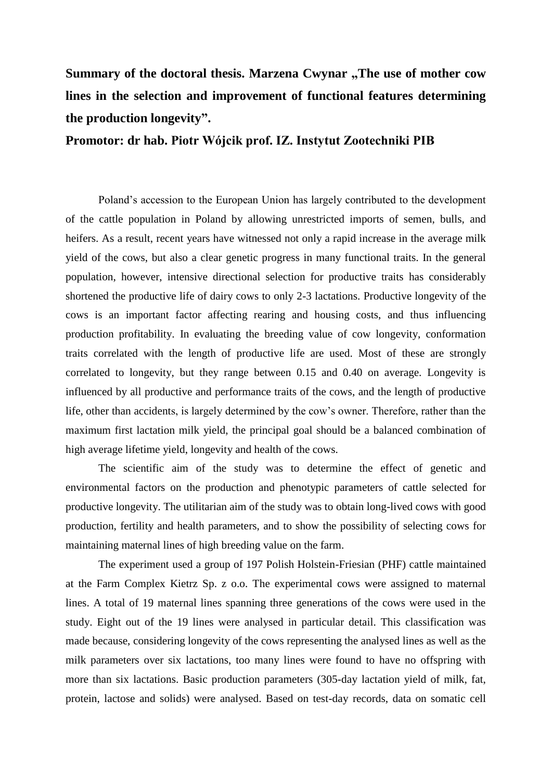Summary of the doctoral thesis. Marzena Cwynar "The use of mother cow **lines in the selection and improvement of functional features determining the production longevity".**

**Promotor: dr hab. Piotr Wójcik prof. IZ. Instytut Zootechniki PIB**

Poland's accession to the European Union has largely contributed to the development of the cattle population in Poland by allowing unrestricted imports of semen, bulls, and heifers. As a result, recent years have witnessed not only a rapid increase in the average milk yield of the cows, but also a clear genetic progress in many functional traits. In the general population, however, intensive directional selection for productive traits has considerably shortened the productive life of dairy cows to only 2-3 lactations. Productive longevity of the cows is an important factor affecting rearing and housing costs, and thus influencing production profitability. In evaluating the breeding value of cow longevity, conformation traits correlated with the length of productive life are used. Most of these are strongly correlated to longevity, but they range between 0.15 and 0.40 on average. Longevity is influenced by all productive and performance traits of the cows, and the length of productive life, other than accidents, is largely determined by the cow's owner. Therefore, rather than the maximum first lactation milk yield, the principal goal should be a balanced combination of high average lifetime yield, longevity and health of the cows.

The scientific aim of the study was to determine the effect of genetic and environmental factors on the production and phenotypic parameters of cattle selected for productive longevity. The utilitarian aim of the study was to obtain long-lived cows with good production, fertility and health parameters, and to show the possibility of selecting cows for maintaining maternal lines of high breeding value on the farm.

The experiment used a group of 197 Polish Holstein-Friesian (PHF) cattle maintained at the Farm Complex Kietrz Sp. z o.o. The experimental cows were assigned to maternal lines. A total of 19 maternal lines spanning three generations of the cows were used in the study. Eight out of the 19 lines were analysed in particular detail. This classification was made because, considering longevity of the cows representing the analysed lines as well as the milk parameters over six lactations, too many lines were found to have no offspring with more than six lactations. Basic production parameters (305-day lactation yield of milk, fat, protein, lactose and solids) were analysed. Based on test-day records, data on somatic cell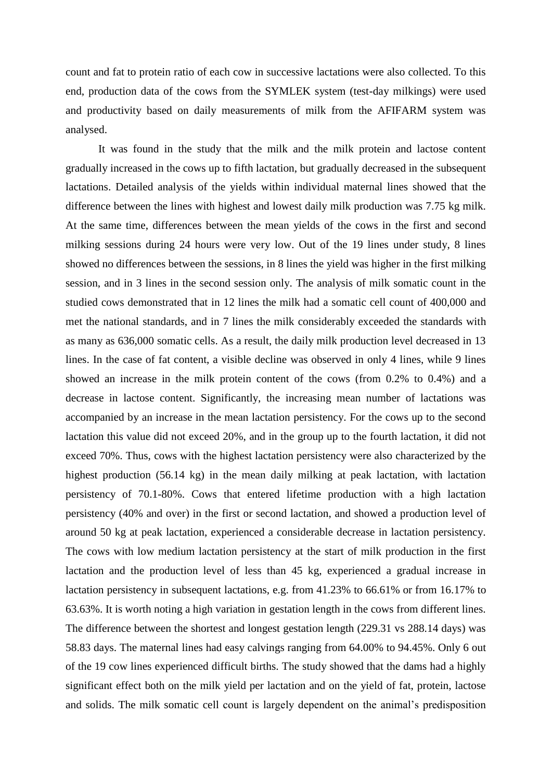count and fat to protein ratio of each cow in successive lactations were also collected. To this end, production data of the cows from the SYMLEK system (test-day milkings) were used and productivity based on daily measurements of milk from the AFIFARM system was analysed.

It was found in the study that the milk and the milk protein and lactose content gradually increased in the cows up to fifth lactation, but gradually decreased in the subsequent lactations. Detailed analysis of the yields within individual maternal lines showed that the difference between the lines with highest and lowest daily milk production was 7.75 kg milk. At the same time, differences between the mean yields of the cows in the first and second milking sessions during 24 hours were very low. Out of the 19 lines under study, 8 lines showed no differences between the sessions, in 8 lines the yield was higher in the first milking session, and in 3 lines in the second session only. The analysis of milk somatic count in the studied cows demonstrated that in 12 lines the milk had a somatic cell count of 400,000 and met the national standards, and in 7 lines the milk considerably exceeded the standards with as many as 636,000 somatic cells. As a result, the daily milk production level decreased in 13 lines. In the case of fat content, a visible decline was observed in only 4 lines, while 9 lines showed an increase in the milk protein content of the cows (from 0.2% to 0.4%) and a decrease in lactose content. Significantly, the increasing mean number of lactations was accompanied by an increase in the mean lactation persistency. For the cows up to the second lactation this value did not exceed 20%, and in the group up to the fourth lactation, it did not exceed 70%. Thus, cows with the highest lactation persistency were also characterized by the highest production (56.14 kg) in the mean daily milking at peak lactation, with lactation persistency of 70.1-80%. Cows that entered lifetime production with a high lactation persistency (40% and over) in the first or second lactation, and showed a production level of around 50 kg at peak lactation, experienced a considerable decrease in lactation persistency. The cows with low medium lactation persistency at the start of milk production in the first lactation and the production level of less than 45 kg, experienced a gradual increase in lactation persistency in subsequent lactations, e.g. from 41.23% to 66.61% or from 16.17% to 63.63%. It is worth noting a high variation in gestation length in the cows from different lines. The difference between the shortest and longest gestation length (229.31 vs 288.14 days) was 58.83 days. The maternal lines had easy calvings ranging from 64.00% to 94.45%. Only 6 out of the 19 cow lines experienced difficult births. The study showed that the dams had a highly significant effect both on the milk yield per lactation and on the yield of fat, protein, lactose and solids. The milk somatic cell count is largely dependent on the animal's predisposition